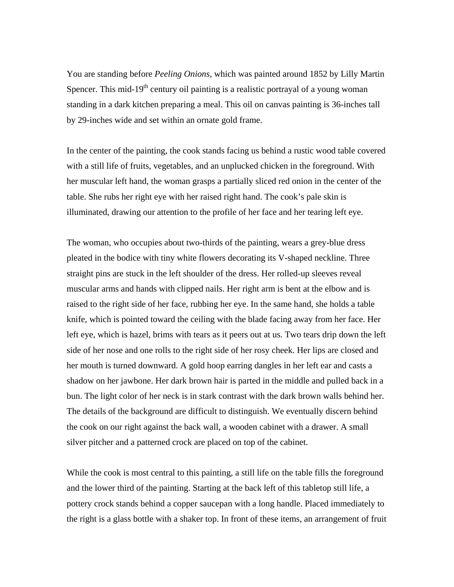You are standing before *Peeling Onions,* which was painted around 1852 by Lilly Martin Spencer. This mid-19 $<sup>th</sup>$  century oil painting is a realistic portrayal of a young woman</sup> standing in a dark kitchen preparing a meal. This oil on canvas painting is 36-inches tall by 29-inches wide and set within an ornate gold frame.

In the center of the painting, the cook stands facing us behind a rustic wood table covered with a still life of fruits, vegetables, and an unplucked chicken in the foreground. With her muscular left hand, the woman grasps a partially sliced red onion in the center of the table. She rubs her right eye with her raised right hand. The cook's pale skin is illuminated, drawing our attention to the profile of her face and her tearing left eye.

The woman, who occupies about two-thirds of the painting, wears a grey-blue dress pleated in the bodice with tiny white flowers decorating its V-shaped neckline. Three straight pins are stuck in the left shoulder of the dress. Her rolled-up sleeves reveal muscular arms and hands with clipped nails. Her right arm is bent at the elbow and is raised to the right side of her face, rubbing her eye. In the same hand, she holds a table knife, which is pointed toward the ceiling with the blade facing away from her face. Her left eye, which is hazel, brims with tears as it peers out at us. Two tears drip down the left side of her nose and one rolls to the right side of her rosy cheek. Her lips are closed and her mouth is turned downward. A gold hoop earring dangles in her left ear and casts a shadow on her jawbone. Her dark brown hair is parted in the middle and pulled back in a bun. The light color of her neck is in stark contrast with the dark brown walls behind her. The details of the background are difficult to distinguish. We eventually discern behind the cook on our right against the back wall, a wooden cabinet with a drawer. A small silver pitcher and a patterned crock are placed on top of the cabinet.

While the cook is most central to this painting, a still life on the table fills the foreground and the lower third of the painting. Starting at the back left of this tabletop still life, a pottery crock stands behind a copper saucepan with a long handle. Placed immediately to the right is a glass bottle with a shaker top. In front of these items, an arrangement of fruit